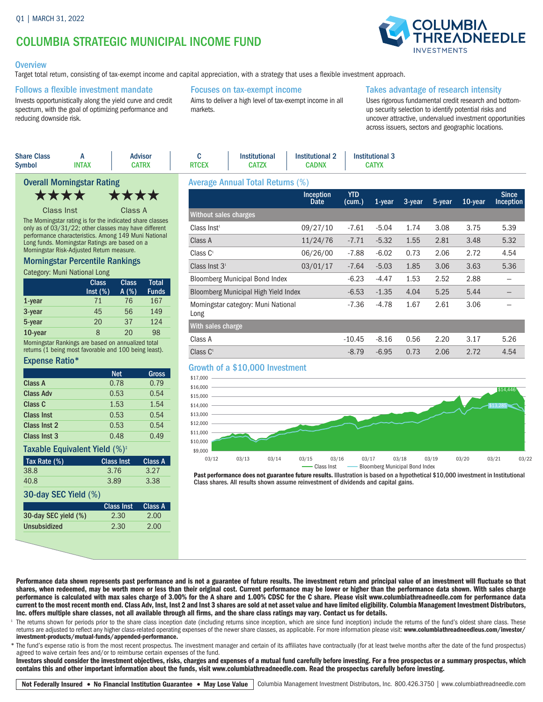# COLUMBIA STRATEGIC MUNICIPAL INCOME FUND

### **Overview**

Target total return, consisting of tax-exempt income and capital appreciation, with a strategy that uses a flexible investment approach.

### Follows a flexible investment mandate

Invests opportunistically along the yield curve and credit spectrum, with the goal of optimizing performance and reducing downside risk.

### Focuses on tax-exempt income

Aims to deliver a high level of tax-exempt income in all markets.

### Takes advantage of research intensity

Uses rigorous fundamental credit research and bottomup security selection to identify potential risks and uncover attractive, undervalued investment opportunities across issuers, sectors and geographic locations.

|                                   | <b>Share Class</b><br><b>Symbol</b> | <b>INTAX</b> | <b>Advisor</b><br><b>CATRX</b>                            | <b>RTCEX</b>                            | <b>Institutional</b><br><b>CATZX</b> | <b>Institutional 2</b><br><b>CADNX</b> |                      | <b>Institutional 3</b><br><b>CATYX</b> |                      |        |              |                          |
|-----------------------------------|-------------------------------------|--------------|-----------------------------------------------------------|-----------------------------------------|--------------------------------------|----------------------------------------|----------------------|----------------------------------------|----------------------|--------|--------------|--------------------------|
| <b>Overall Morningstar Rating</b> |                                     |              |                                                           | <b>Average Annual Total Returns (%)</b> |                                      |                                        |                      |                                        |                      |        |              |                          |
|                                   | ****                                |              | ****                                                      |                                         |                                      | <b>Inception</b><br>Date               | <b>YTD</b><br>(cum.) | 1-vear                                 | $3$ -year            | 5-year | 10-year      | <b>Since</b><br>Inceptio |
|                                   | Class Inst                          |              | Class A                                                   | Without sales charges                   |                                      |                                        |                      |                                        |                      |        |              |                          |
|                                   |                                     |              | The Morningstar rating is for the indicated share classes |                                         |                                      | 00107140                               | 7.04                 | $\Gamma$ $\Omega$                      | $\sim$ $\sim$ $\sim$ | 0.00   | $\sim$ $\pi$ | $\Gamma$ 00              |

only as of 03/31/22; other classes may have different performance characteristics. Among 149 Muni National Long funds. Morningstar Ratings are based on a Morningstar Risk-Adjusted Return measure.

### Morningstar Percentile Rankings

Category: Muni National Long

|           | <b>Class</b><br>Inst (%) | <b>Class</b><br>A(%) | <b>Total</b><br><b>Funds</b> |
|-----------|--------------------------|----------------------|------------------------------|
| $1$ -year | 71                       | 76                   | 167                          |
| 3-year    | 45                       | 56                   | 149                          |
| 5-year    | 20                       | 37                   | 124                          |
| 10-year   | ጸ                        | 20                   | 98                           |

Morningstar Rankings are based on annualized total returns (1 being most favorable and 100 being least).

### Expense Ratio\*

|                                           | <b>Net</b>        | Gross          |  |  |  |
|-------------------------------------------|-------------------|----------------|--|--|--|
| Class A                                   | 0.78              | 0.79           |  |  |  |
| Class Adv                                 | 0.53              | 0.54           |  |  |  |
| Class C                                   | 1.53              | 1.54           |  |  |  |
| <b>Class Inst</b>                         | 0.53              | 0.54           |  |  |  |
| Class Inst 2                              | 0.53              | 0.54           |  |  |  |
| Class Inst 3                              | 0.48              | 0.49           |  |  |  |
| Taxable Equivalent Yield (%) <sup>+</sup> |                   |                |  |  |  |
|                                           |                   |                |  |  |  |
| Tax Rate (%)                              | <b>Class Inst</b> | Class A        |  |  |  |
| 38.8                                      | 3.76              | 3.27           |  |  |  |
| 40.8                                      | 3.89              | 3.38           |  |  |  |
| 30-day SEC Yield (%)                      |                   |                |  |  |  |
|                                           | <b>Class Inst</b> | <b>Class A</b> |  |  |  |
| 30-day SEC yield (%)                      | 2.30              | 2.00           |  |  |  |

| $1.101980$ Thingai Tolai Roland (70)        |                          |                      |           |        |        |            |                                  |
|---------------------------------------------|--------------------------|----------------------|-----------|--------|--------|------------|----------------------------------|
|                                             | <b>Inception</b><br>Date | <b>YTD</b><br>(cum.) | $1$ -year | 3-year | 5-year | $10$ -year | <b>Since</b><br><b>Inception</b> |
| Without sales charges                       |                          |                      |           |        |        |            |                                  |
| Class Inst <sup>1</sup>                     | 09/27/10                 | $-7.61$              | $-5.04$   | 1.74   | 3.08   | 3.75       | 5.39                             |
| Class A                                     | 11/24/76                 | $-7.71$              | $-5.32$   | 1.55   | 2.81   | 3.48       | 5.32                             |
| Class C <sup>1</sup>                        | 06/26/00                 | $-7.88$              | $-6.02$   | 0.73   | 2.06   | 2.72       | 4.54                             |
| Class Inst $31$                             | 03/01/17                 | $-7.64$              | $-5.03$   | 1.85   | 3.06   | 3.63       | 5.36                             |
| <b>Bloomberg Municipal Bond Index</b>       |                          | $-6.23$              | $-4.47$   | 1.53   | 2.52   | 2.88       |                                  |
| Bloomberg Municipal High Yield Index        |                          | $-6.53$              | $-1.35$   | 4.04   | 5.25   | 5.44       |                                  |
| Morningstar category: Muni National<br>Long |                          | $-7.36$              | $-4.78$   | 1.67   | 2.61   | 3.06       |                                  |
| With sales charge                           |                          |                      |           |        |        |            |                                  |
| Class A                                     |                          | $-10.45$             | $-8.16$   | 0.56   | 2.20   | 3.17       | 5.26                             |
| Class $C1$                                  |                          | $-8.79$              | $-6.95$   | 0.73   | 2.06   | 2.72       | 4.54                             |

## Growth of a \$10,000 Investment



Past performance does not guarantee future results. Illustration is based on a hypothetical \$10,000 investment in Institutional Class shares. All results shown assume reinvestment of dividends and capital gains.

#### Performance data shown represents past performance and is not a guarantee of future results. The investment return and principal value of an investment will fluctuate so that shares, when redeemed, may be worth more or less than their original cost. Current performance may be lower or higher than the performance data shown. With sales charge performance is calculated with max sales charge of 3.00% for the A share and 1.00% CDSC for the C share. Please visit www.columbiathreadneedle.com for performance data current to the most recent month end. Class Adv, Inst, Inst 2 and Inst 3 shares are sold at net asset value and have limited eligibility. Columbia Management Investment Distributors, Inc. offers multiple share classes, not all available through all firms, and the share class ratings may vary. Contact us for details.

The returns shown for periods prior to the share class inception date (including returns since inception, which are since fund inception) include the returns of the fund's oldest share class. These returns are adjusted to reflect any higher class-related operating expenses of the newer share classes, as applicable. For more information please visit: www.columbiathreadneedleus.com/investor/ investment-products/mutual-funds/appended-performance.

\* The fund's expense ratio is from the most recent prospectus. The investment manager and certain of its affiliates have contractually (for at least twelve months after the date of the fund prospectus) agreed to waive certain fees and/or to reimburse certain expenses of the fund.

Investors should consider the investment objectives, risks, charges and expenses of a mutual fund carefully before investing. For a free prospectus or a summary prospectus, which contains this and other important information about the funds, visit www.columbiathreadneedle.com. Read the prospectus carefully before investing.